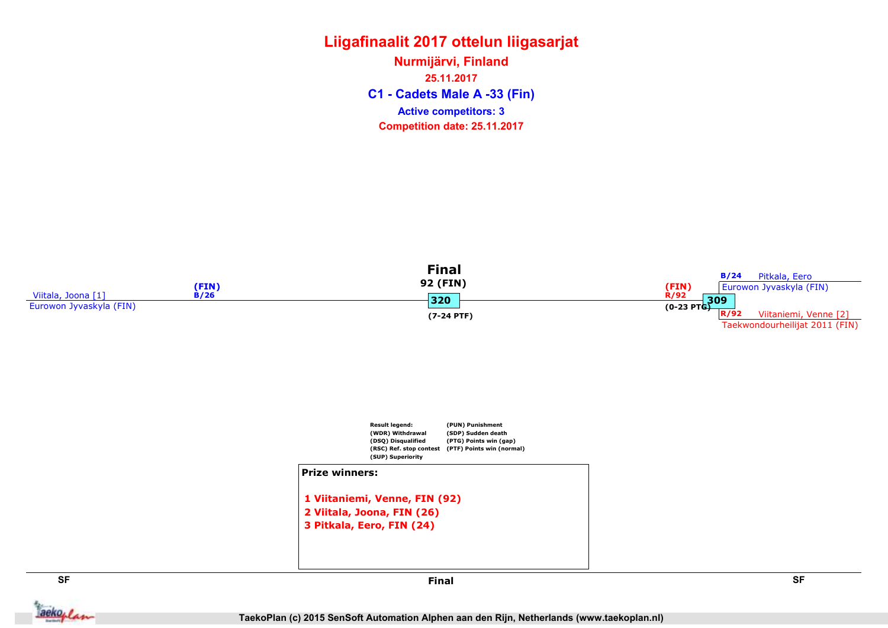C1 - Cadets Male A -33 (Fin) Nurmijärvi, Finland 25.11.2017 Competition date: 25.11.2017 Active competitors: 3





2 Viitala, Joona, FIN (26) 3 Pitkala, Eero, FIN (24)

1 Viitaniemi, Venne, FIN (92)



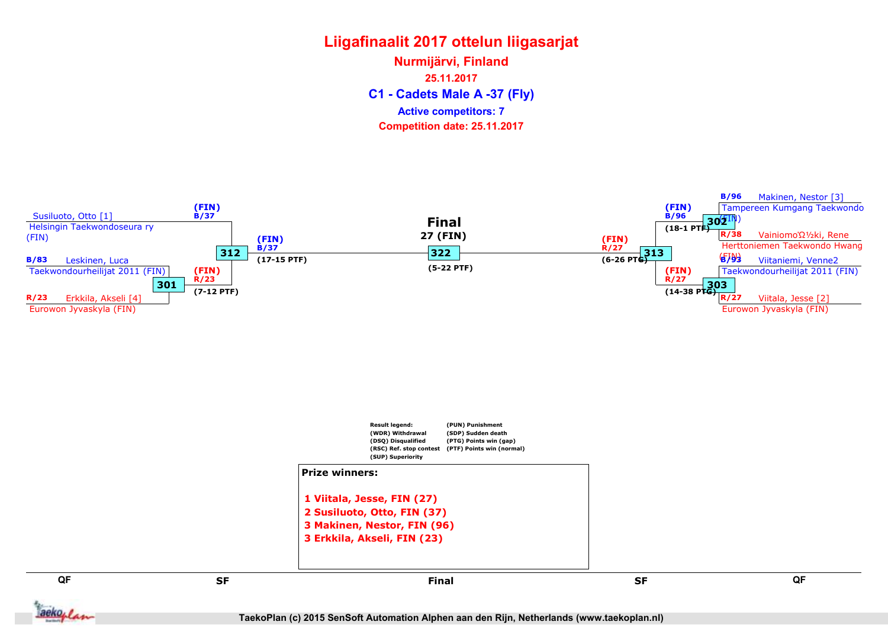C1 - Cadets Male A -37 (Fly) Nurmijärvi, Finland 25.11.2017 Competition date: 25.11.2017 Active competitors: 7



TaekoPlan (c) 2015 SenSoft Automation Alphen aan den Rijn, Netherlands (www.taekoplan.nl)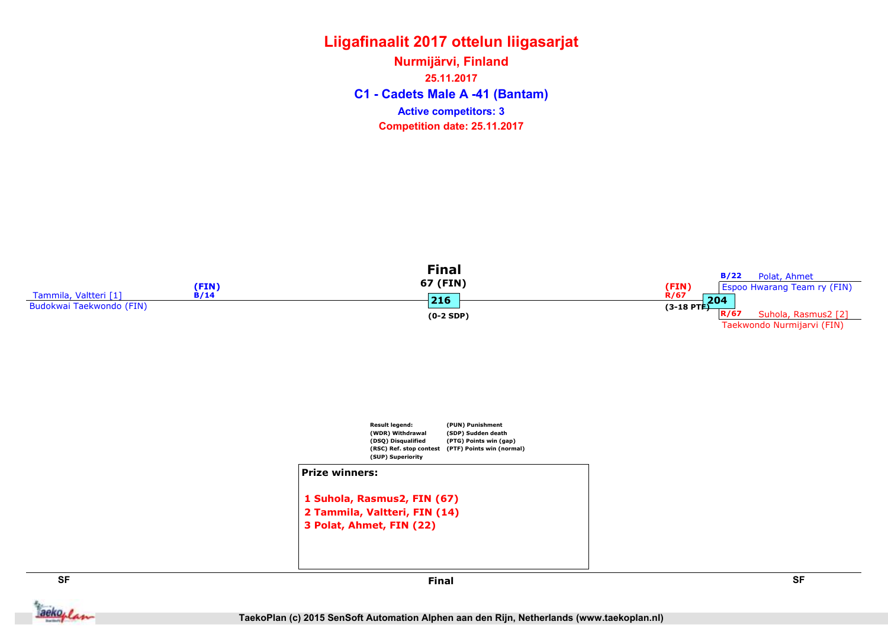C1 - Cadets Male A -41 (Bantam) Nurmijärvi, Finland 25.11.2017 Competition date: 25.11.2017 Active competitors: 3





aekoplan

SF SF Final

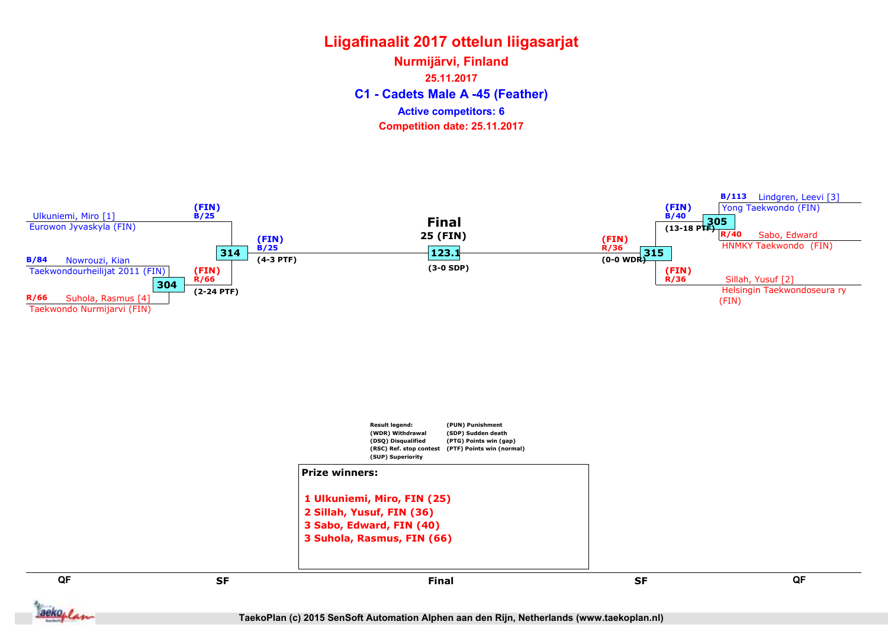C1 - Cadets Male A -45 (Feather) Nurmijärvi, Finland 25.11.2017 Competition date: 25.11.2017 Active competitors: 6

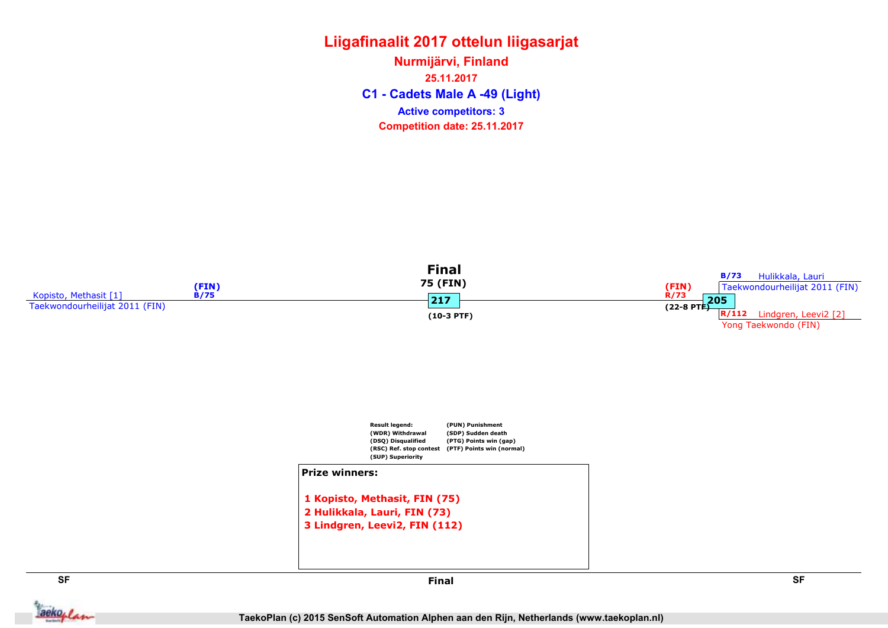C1 - Cadets Male A -49 (Light) Nurmijärvi, Finland 25.11.2017 Competition date: 25.11.2017 Active competitors: 3





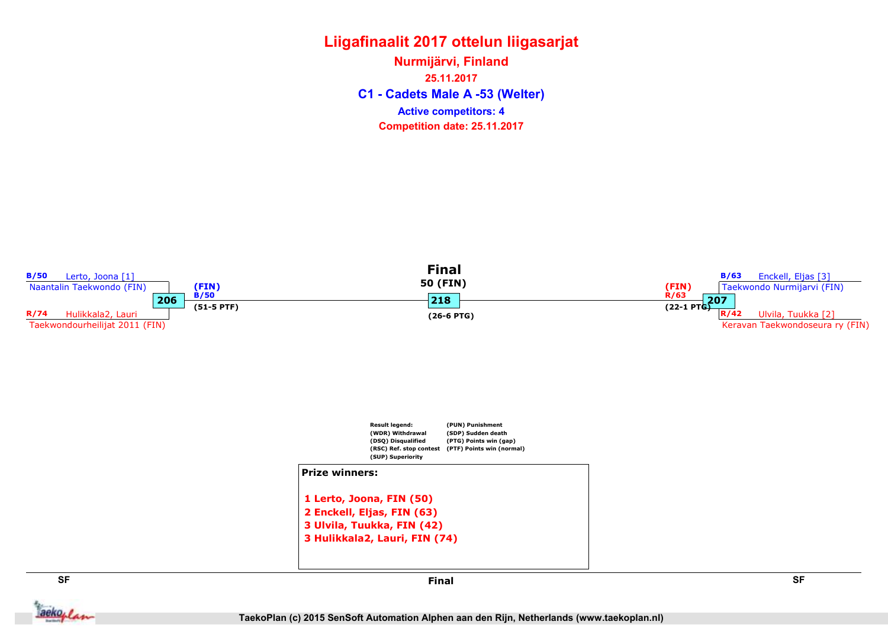C1 - Cadets Male A -53 (Welter) Nurmijärvi, Finland 25.11.2017 Competition date: 25.11.2017 Active competitors: 4



aekoplan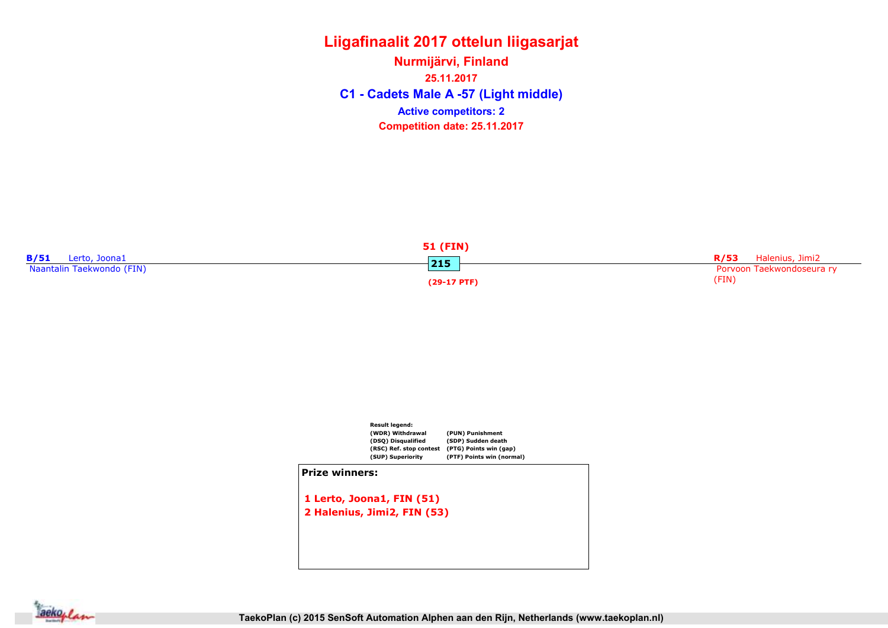C1 - Cadets Male A -57 (Light middle) Nurmijärvi, Finland 25.11.2017 Competition date: 25.11.2017 Active competitors: 2





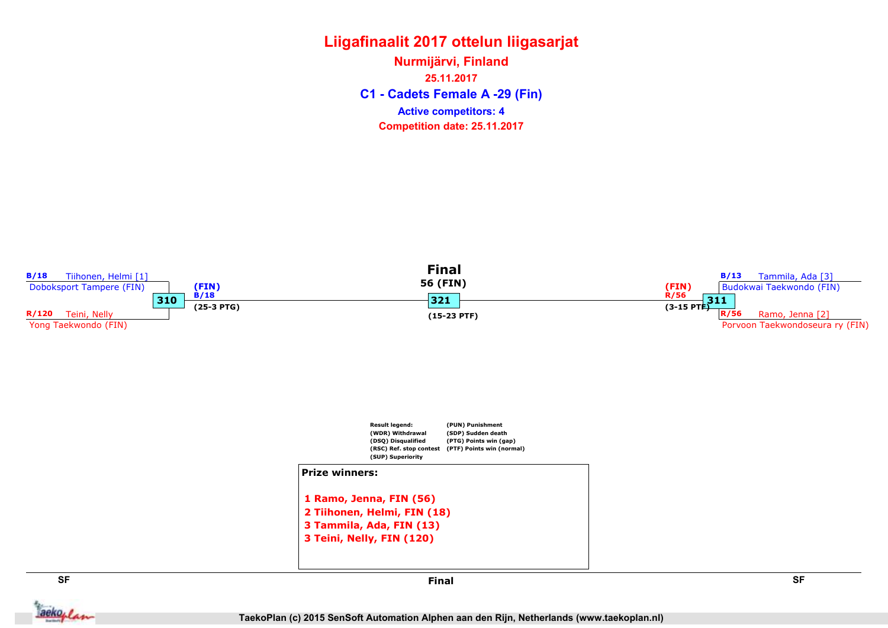C1 - Cadets Female A -29 (Fin) Nurmijärvi, Finland 25.11.2017 Competition date: 25.11.2017 Active competitors: 4

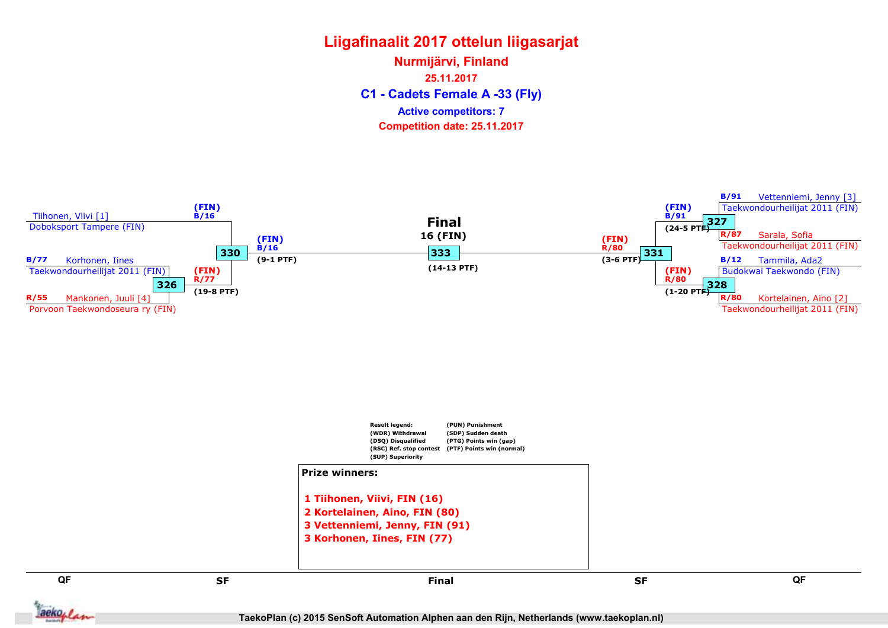C1 - Cadets Female A -33 (Fly) Nurmijärvi, Finland 25.11.2017 Competition date: 25.11.2017 Active competitors: 7



TaekoPlan (c) 2015 SenSoft Automation Alphen aan den Rijn, Netherlands (www.taekoplan.nl)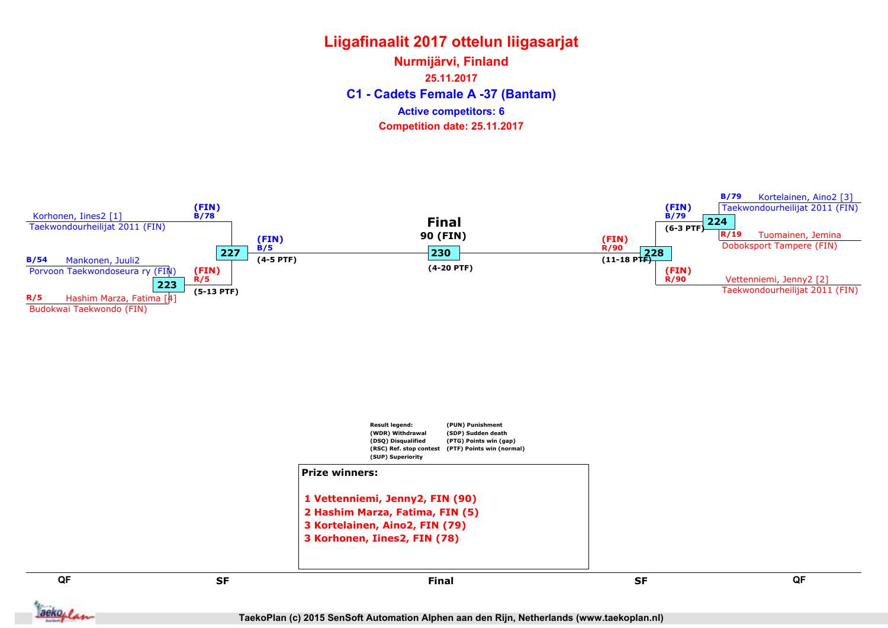C1 - Cadets Female A -37 (Bantam) Nurmijärvi, Finland 25.11.2017 Competition date: 25.11.2017 Active competitors: 6



TaekoPlan (c) 2015 SenSoft Automation Alphen aan den Rijn, Netherlands (www.taekoplan.nl)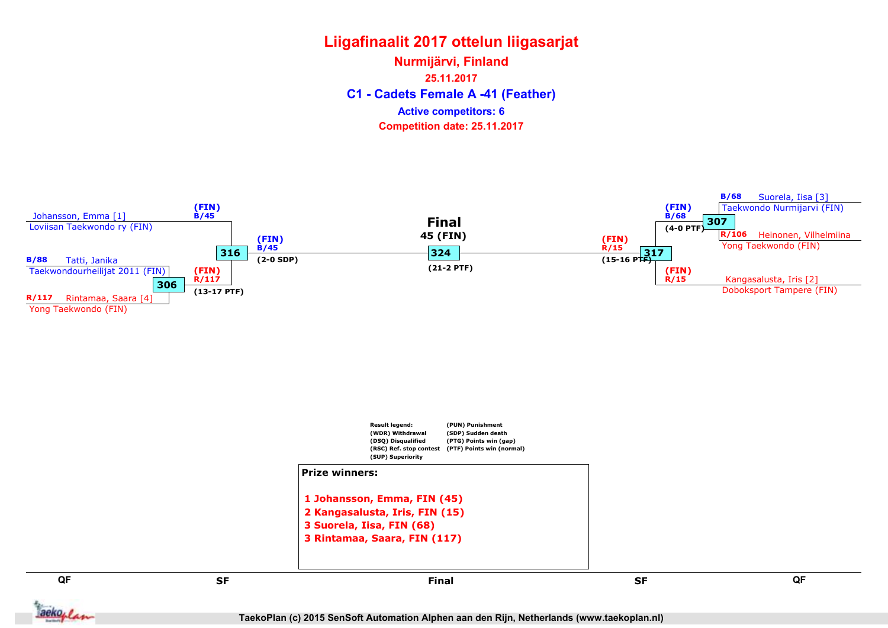C1 - Cadets Female A -41 (Feather) Nurmijärvi, Finland 25.11.2017 Competition date: 25.11.2017 Active competitors: 6

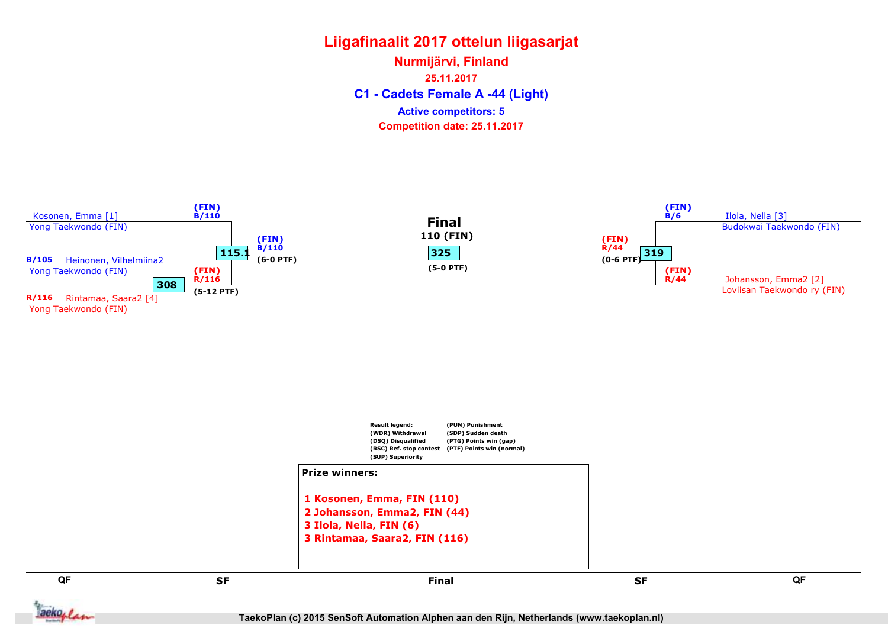C1 - Cadets Female A -44 (Light) Nurmijärvi, Finland 25.11.2017 Competition date: 25.11.2017 Active competitors: 5

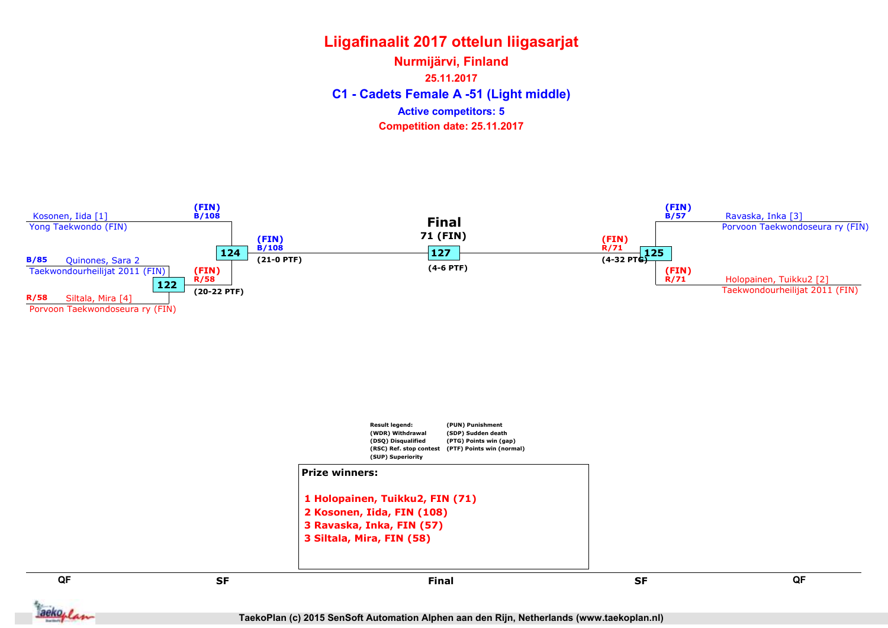C1 - Cadets Female A -51 (Light middle) Nurmijärvi, Finland 25.11.2017 Competition date: 25.11.2017 Active competitors: 5



TaekoPlan (c) 2015 SenSoft Automation Alphen aan den Rijn, Netherlands (www.taekoplan.nl)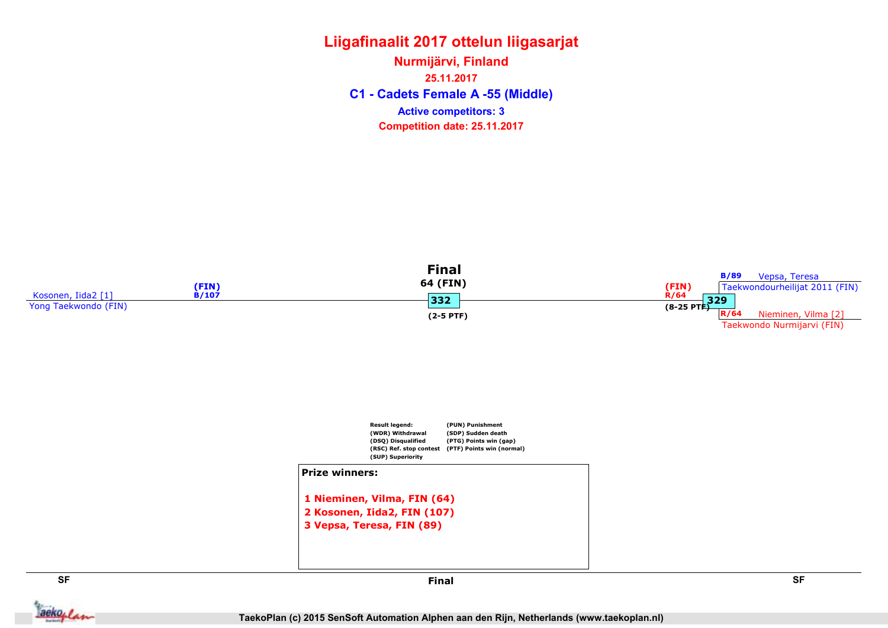C1 - Cadets Female A -55 (Middle) Nurmijärvi, Finland 25.11.2017 Competition date: 25.11.2017 Active competitors: 3





aekoplan

SF SF Final

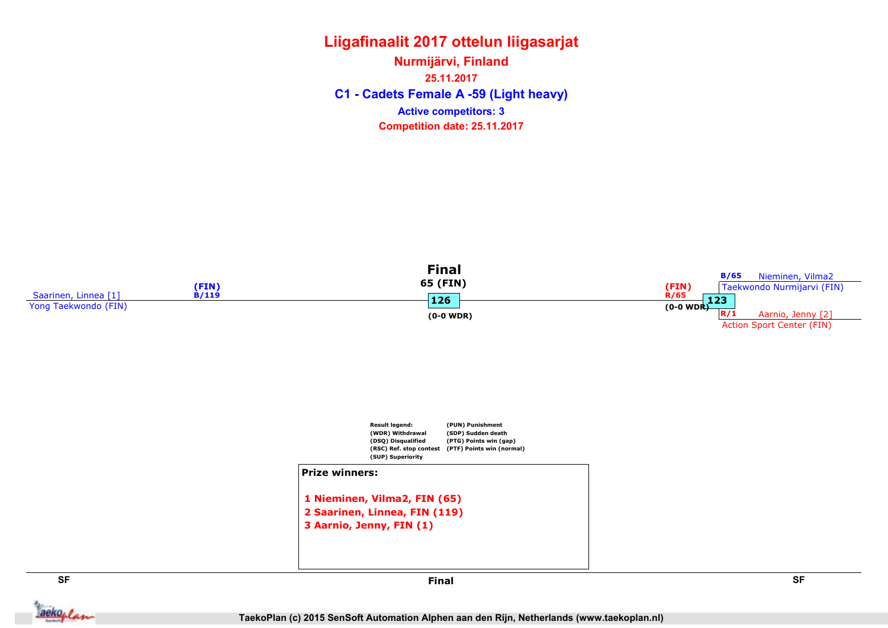C1 - Cadets Female A -59 (Light heavy) Nurmijärvi, Finland 25.11.2017 Competition date: 25.11.2017 Active competitors: 3



aekoplan

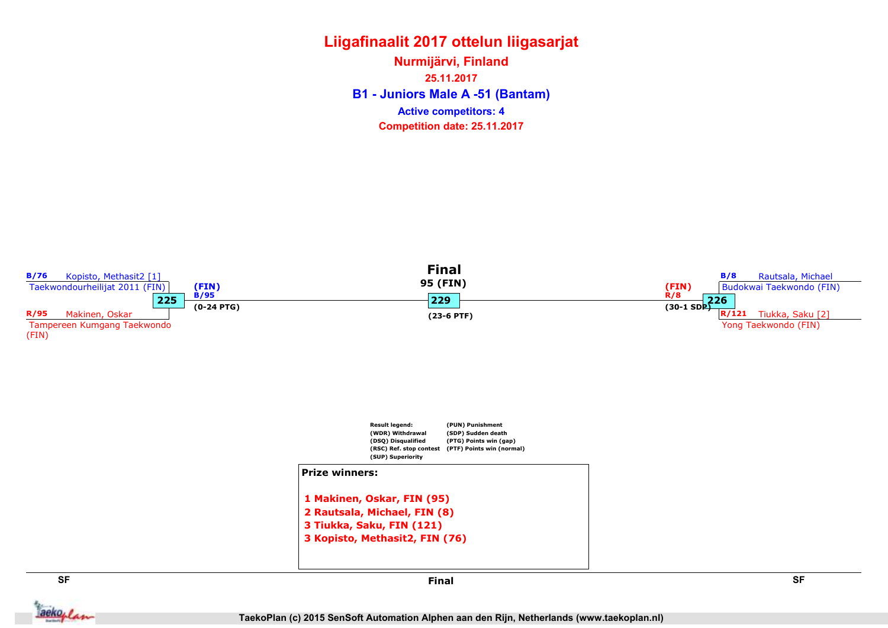B1 - Juniors Male A -51 (Bantam) Nurmijärvi, Finland 25.11.2017 Competition date: 25.11.2017 Active competitors: 4



**Jackoplan** 

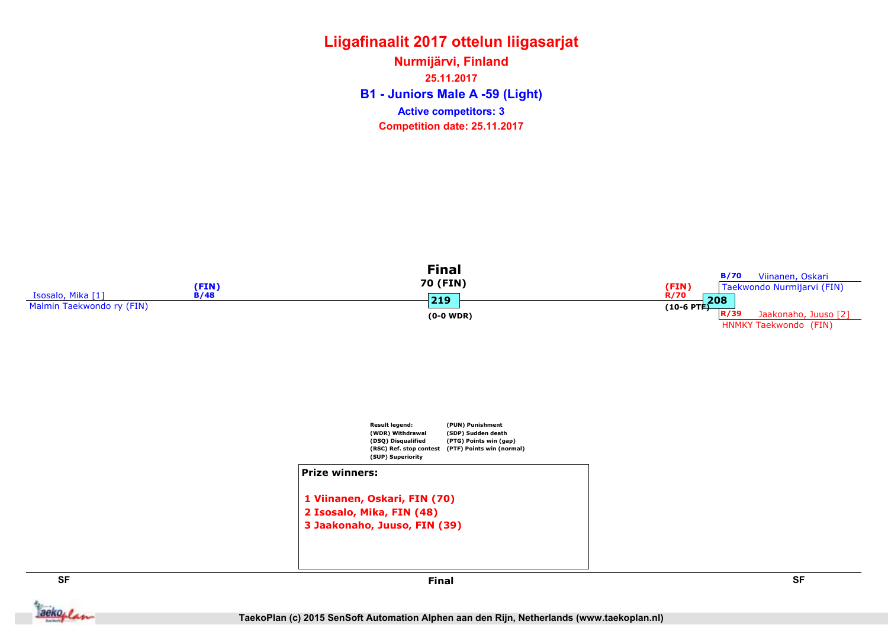B1 - Juniors Male A -59 (Light) Nurmijärvi, Finland 25.11.2017 Competition date: 25.11.2017 Active competitors: 3



2 Isosalo, Mika, FIN (48) 3 Jaakonaho, Juuso, FIN (39)

**Jackoplan**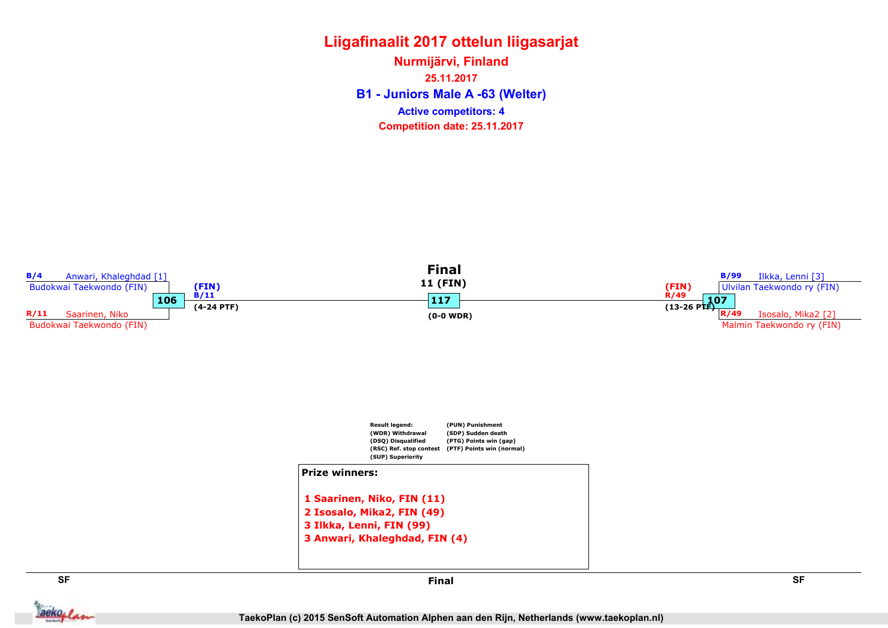B1 - Juniors Male A -63 (Welter) Nurmijärvi, Finland 25.11.2017 Competition date: 25.11.2017 Active competitors: 4



**Jackoplan** 

Final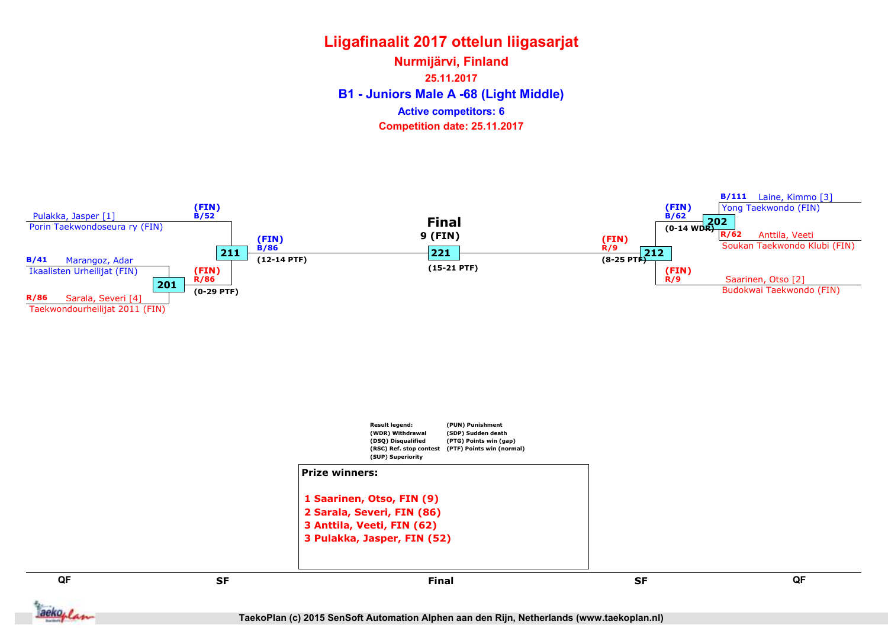B1 - Juniors Male A -68 (Light Middle) Nurmijärvi, Finland 25.11.2017 Competition date: 25.11.2017 Active competitors: 6



TaekoPlan (c) 2015 SenSoft Automation Alphen aan den Rijn, Netherlands (www.taekoplan.nl)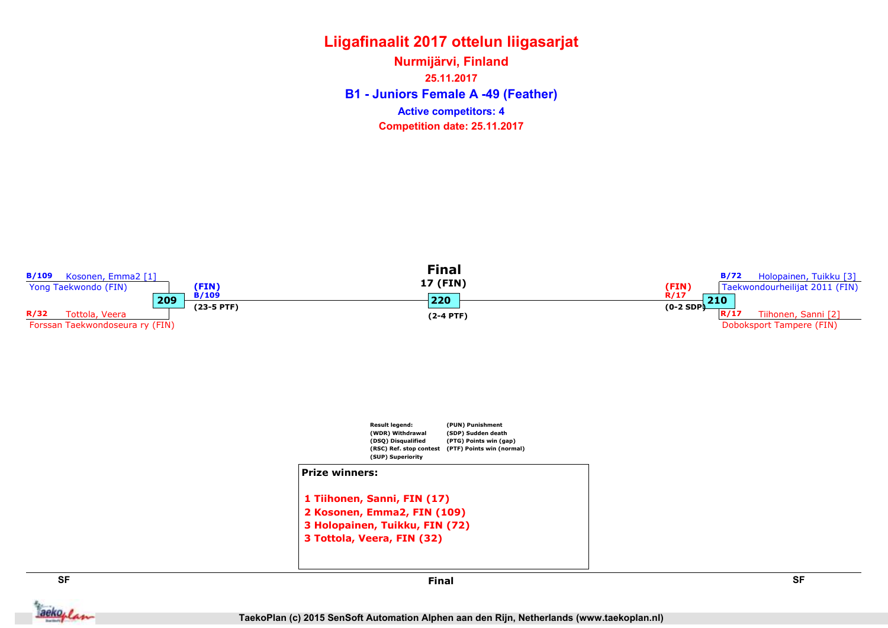B1 - Juniors Female A -49 (Feather) Nurmijärvi, Finland 25.11.2017 Competition date: 25.11.2017 Active competitors: 4

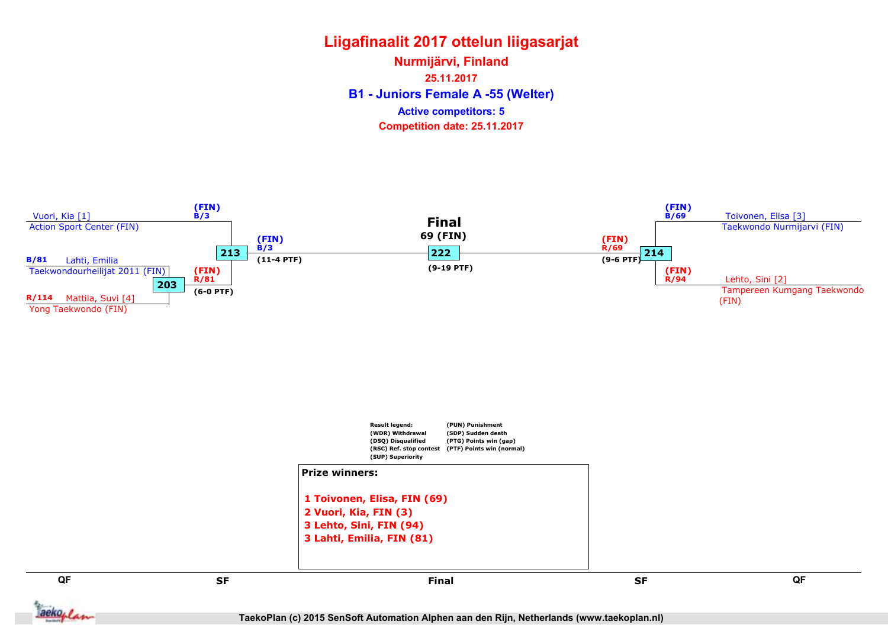B1 - Juniors Female A -55 (Welter) Nurmijärvi, Finland 25.11.2017 Competition date: 25.11.2017 Active competitors: 5



aekoplan

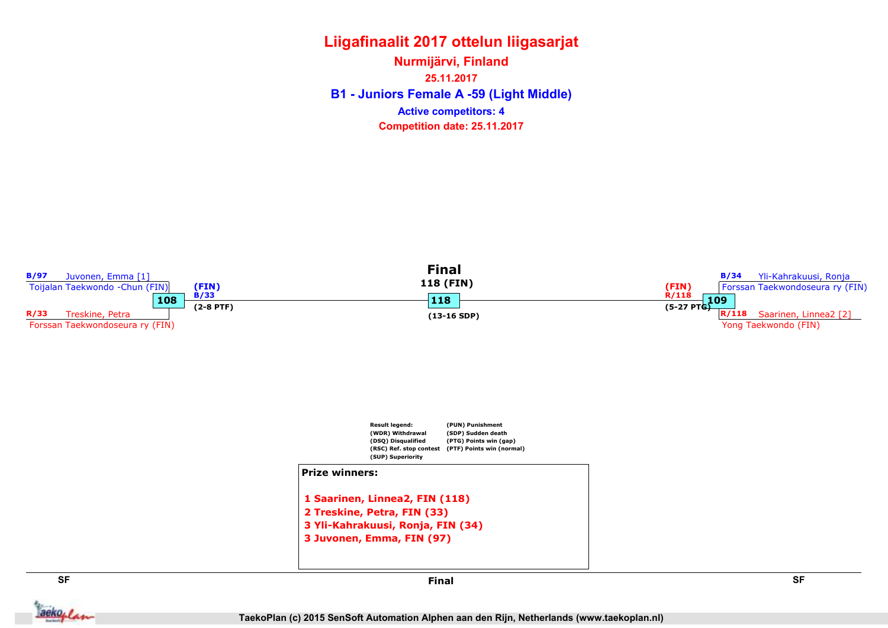B1 - Juniors Female A -59 (Light Middle) Nurmijärvi, Finland 25.11.2017 Competition date: 25.11.2017 Active competitors: 4



**Jackoplan** 

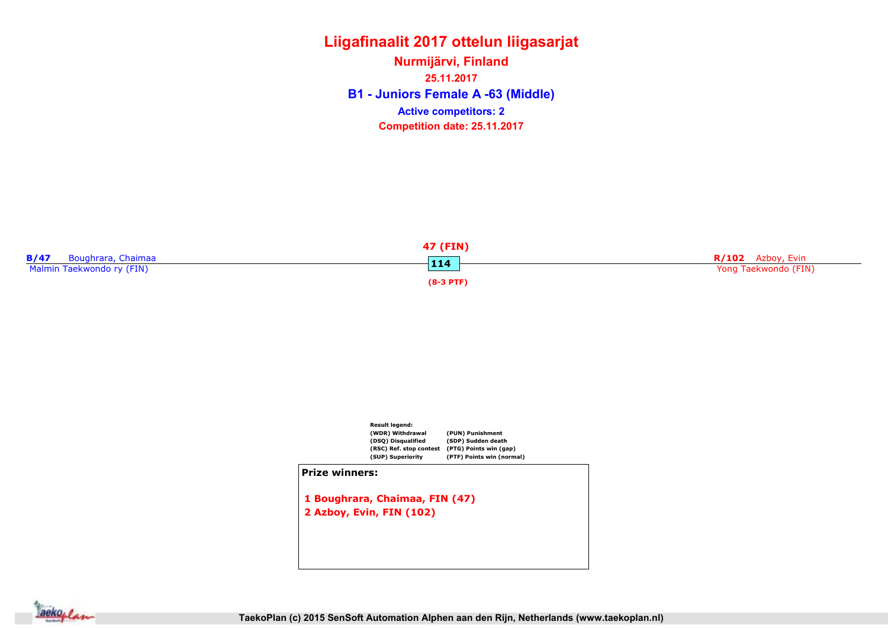B1 - Juniors Female A -63 (Middle) Nurmijärvi, Finland 25.11.2017 Competition date: 25.11.2017 Active competitors: 2





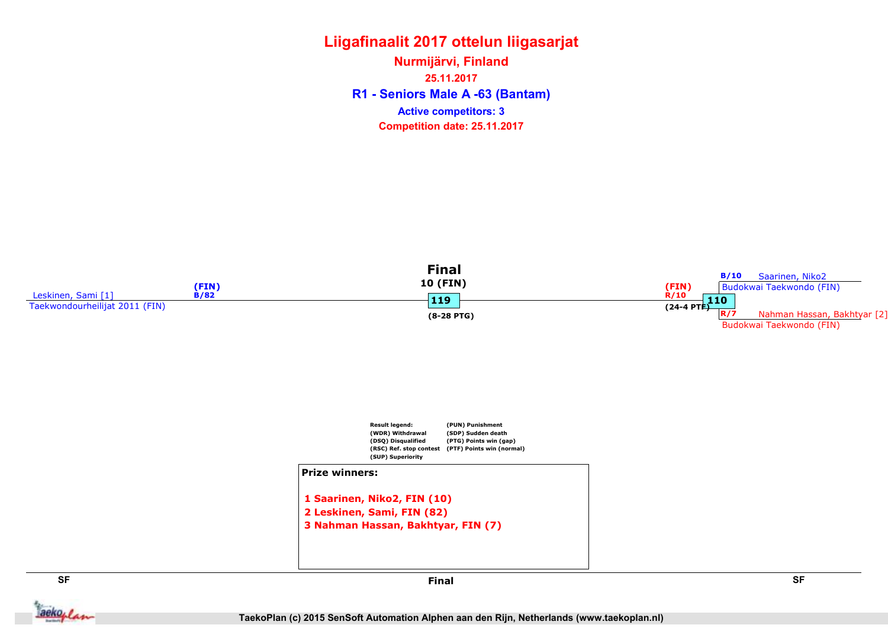R1 - Seniors Male A -63 (Bantam) Nurmijärvi, Finland 25.11.2017 Competition date: 25.11.2017 Active competitors: 3



**Jackoplan**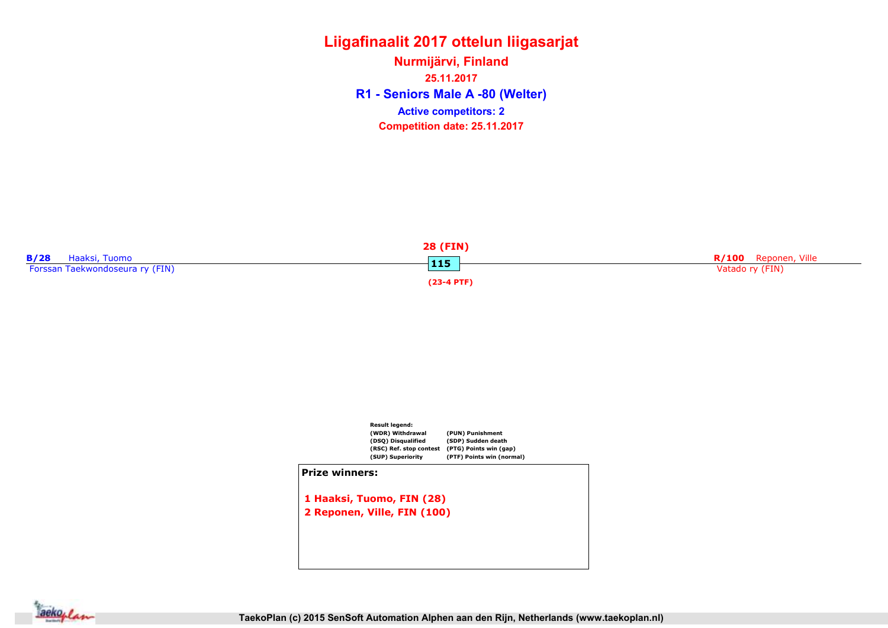R1 - Seniors Male A -80 (Welter) Nurmijärvi, Finland 25.11.2017 Competition date: 25.11.2017 Active competitors: 2





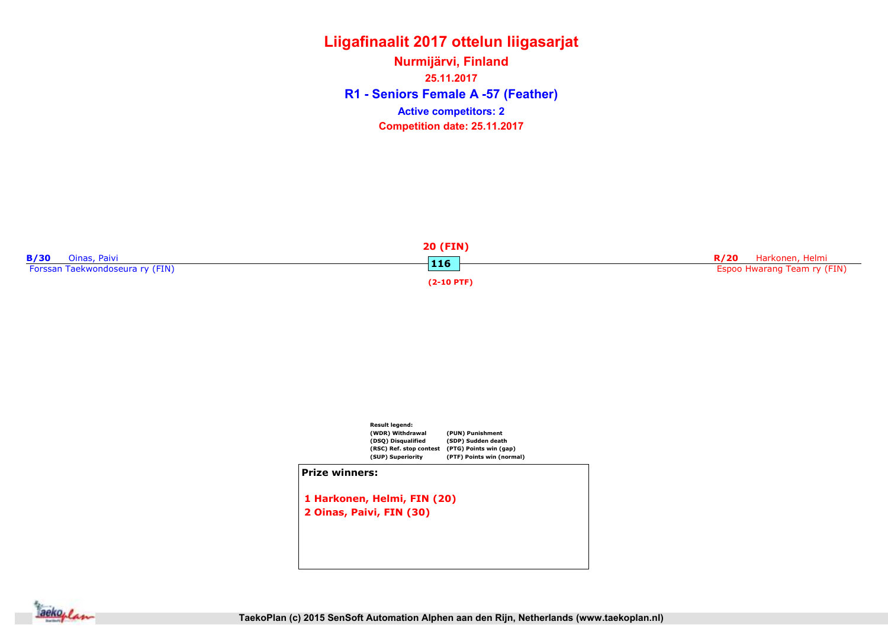R1 - Seniors Female A -57 (Feather) Nurmijärvi, Finland 25.11.2017 Competition date: 25.11.2017 Active competitors: 2





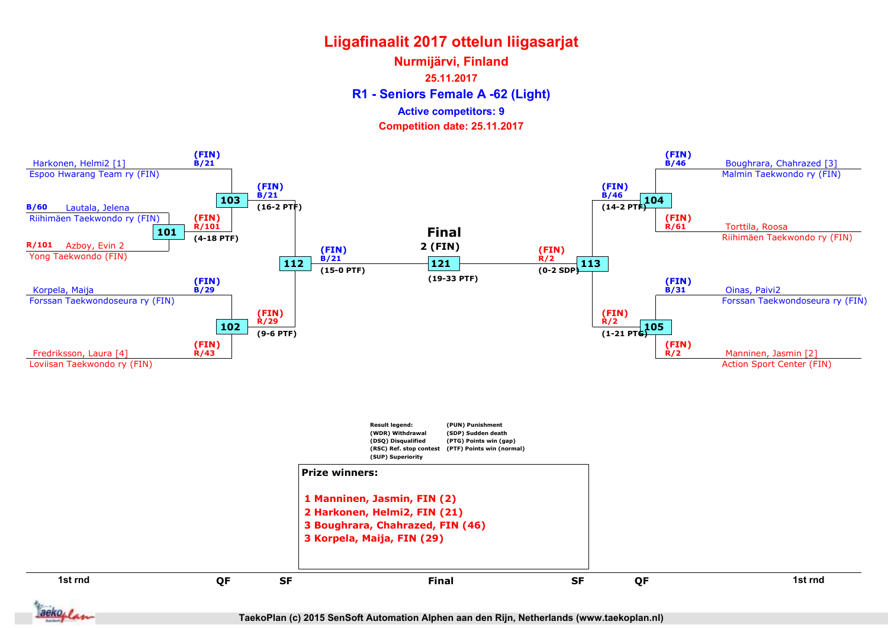R1 - Seniors Female A -62 (Light) Nurmijärvi, Finland 25.11.2017 Competition date: 25.11.2017 Active competitors: 9



TaekoPlan (c) 2015 SenSoft Automation Alphen aan den Rijn, Netherlands (www.taekoplan.nl)